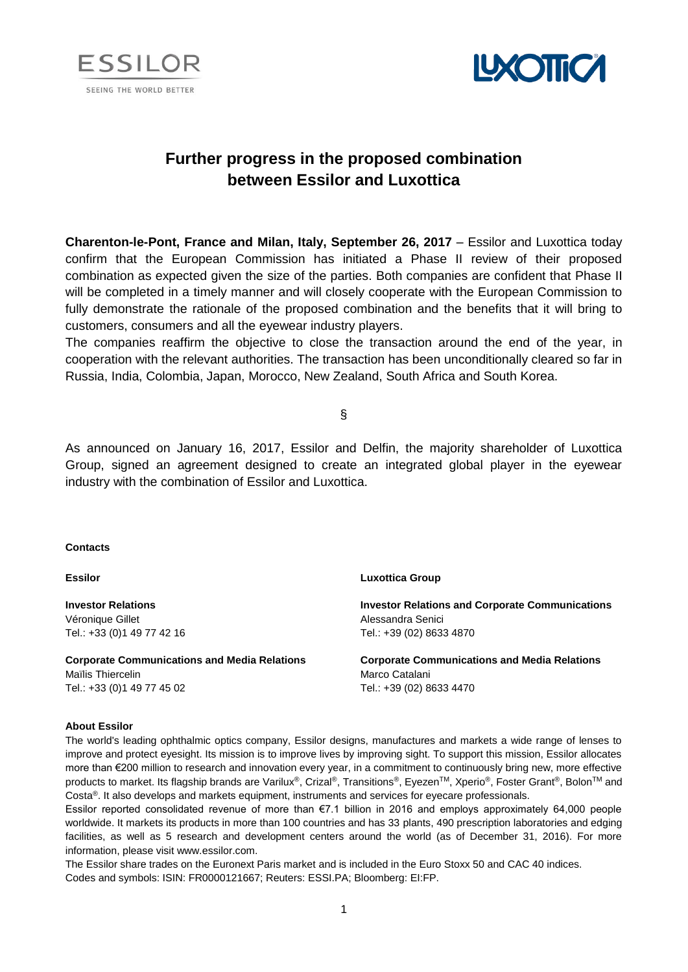



# **Further progress in the proposed combination between Essilor and Luxottica**

**Charenton-le-Pont, France and Milan, Italy, September 26, 2017** – Essilor and Luxottica today confirm that the European Commission has initiated a Phase II review of their proposed combination as expected given the size of the parties. Both companies are confident that Phase II will be completed in a timely manner and will closely cooperate with the European Commission to fully demonstrate the rationale of the proposed combination and the benefits that it will bring to customers, consumers and all the eyewear industry players.

The companies reaffirm the objective to close the transaction around the end of the year, in cooperation with the relevant authorities. The transaction has been unconditionally cleared so far in Russia, India, Colombia, Japan, Morocco, New Zealand, South Africa and South Korea.

§

As announced on January 16, 2017, Essilor and Delfin, the majority shareholder of Luxottica Group, signed an agreement designed to create an integrated global player in the eyewear industry with the combination of Essilor and Luxottica.

# **Contacts**

# **Essilor**

**Investor Relations**  Véronique Gillet Tel.: +33 (0)1 49 77 42 16

**Corporate Communications and Media Relations** Maïlis Thiercelin Tel.: +33 (0)1 49 77 45 02

### **Luxottica Group**

**Investor Relations and Corporate Communications** Alessandra Senici Tel.: +39 (02) 8633 4870

**Corporate Communications and Media Relations** Marco Catalani Tel.: +39 (02) 8633 4470

# **About Essilor**

The world's leading ophthalmic optics company, Essilor designs, manufactures and markets a wide range of lenses to improve and protect eyesight. Its mission is to improve lives by improving sight. To support this mission, Essilor allocates more than €200 million to research and innovation every year, in a commitment to continuously bring new, more effective products to market. Its flagship brands are Varilux®, Crizal®, Transitions®, Eyezen™, Xperio®, Foster Grant®, Bolon™ and Costa®. It also develops and markets equipment, instruments and services for eyecare professionals.

Essilor reported consolidated revenue of more than €7.1 billion in 2016 and employs approximately 64,000 people worldwide. It markets its products in more than 100 countries and has 33 plants, 490 prescription laboratories and edging facilities, as well as 5 research and development centers around the world (as of December 31, 2016). For more information, please visit www.essilor.com.

The Essilor share trades on the Euronext Paris market and is included in the Euro Stoxx 50 and CAC 40 indices. Codes and symbols: ISIN: FR0000121667; Reuters: ESSI.PA; Bloomberg: EI:FP.